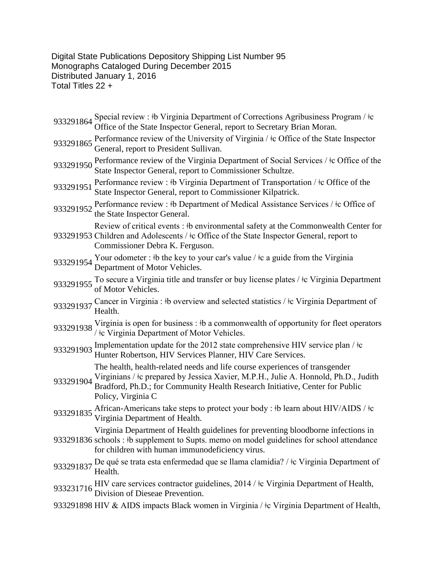Digital State Publications Depository Shipping List Number 95 Monographs Cataloged During December 2015 Distributed January 1, 2016 Total Titles 22 +

|           | 933291864 Special review: #b Virginia Department of Corrections Agribusiness Program / $\pm c$<br>Office of the State Inspector General, report to Secretary Brian Moran.                                                                                                |
|-----------|--------------------------------------------------------------------------------------------------------------------------------------------------------------------------------------------------------------------------------------------------------------------------|
| 933291865 | Performance review of the University of Virginia / $\pm$ Office of the State Inspector<br>General, report to President Sullivan.                                                                                                                                         |
| 933291950 | Performance review of the Virginia Department of Social Services / ‡c Office of the<br>State Inspector General, report to Commissioner Schultze.                                                                                                                         |
| 933291951 | Performance review : #b Virginia Department of Transportation / #c Office of the<br>State Inspector General, report to Commissioner Kilpatrick.                                                                                                                          |
| 933291952 | Performance review : #b Department of Medical Assistance Services / #c Office of<br>the State Inspector General.                                                                                                                                                         |
|           | Review of critical events: #b environmental safety at the Commonwealth Center for<br>933291953 Children and Adolescents / ‡c Office of the State Inspector General, report to<br>Commissioner Debra K. Ferguson.                                                         |
|           | 933291954 Your odometer : #b the key to your car's value / $\pm$ c a guide from the Virginia<br>Department of Motor Vehicles.                                                                                                                                            |
| 933291955 | To secure a Virginia title and transfer or buy license plates / $\pm c$ Virginia Department<br>of Motor Vehicles.                                                                                                                                                        |
| 933291937 | Cancer in Virginia : #b overview and selected statistics / #c Virginia Department of<br>Health.                                                                                                                                                                          |
|           | 933291938 Virginia is open for business: #b a commonwealth of opportunity for fleet operators<br>/ ‡c Virginia Department of Motor Vehicles.                                                                                                                             |
| 933291903 | Implementation update for the 2012 state comprehensive HIV service plan / $\pm c$<br>Hunter Robertson, HIV Services Planner, HIV Care Services.                                                                                                                          |
| 933291904 | The health, health-related needs and life course experiences of transgender<br>Virginians / tc prepared by Jessica Xavier, M.P.H., Julie A. Honnold, Ph.D., Judith<br>Bradford, Ph.D.; for Community Health Research Initiative, Center for Public<br>Policy, Virginia C |
| 933291835 | African-Americans take steps to protect your body : #b learn about HIV/AIDS / #c<br>Virginia Department of Health.                                                                                                                                                       |
|           | Virginia Department of Health guidelines for preventing bloodborne infections in<br>933291836 schools : #b supplement to Supts. memo on model guidelines for school attendance<br>for children with human immunodeficiency virus.                                        |
|           | 933291837 De qué se trata esta enfermedad que se llama clamidia? / ‡c Virginia Department of<br>Health.                                                                                                                                                                  |
|           | 933231716 HIV care services contractor guidelines, 2014 / $\pm c$ Virginia Department of Health, Division of Dieseae Prevention.                                                                                                                                         |
|           | 933291898 HIV & AIDS impacts Black women in Virginia / ‡c Virginia Department of Health,                                                                                                                                                                                 |